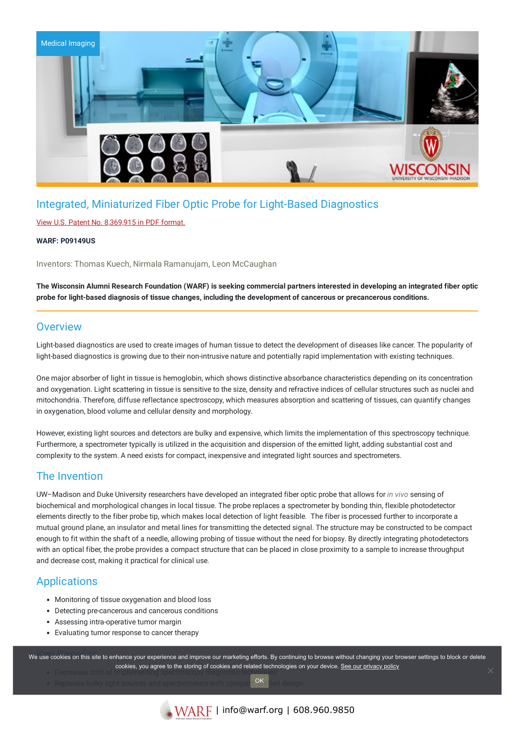

# Integrated, Miniaturized Fiber Optic Probe for Light-Based Diagnostics

### View U.S. Patent No. [8,369,915](https://www.warf.org/wp-content/uploads/technologies/ipstatus/P09149US.PDF) in PDF format.

#### **WARF: P09149US**

Inventors: Thomas Kuech, Nirmala Ramanujam, Leon McCaughan

The Wisconsin Alumni Research Foundation (WARF) is seeking commercial partners interested in developing an integrated fiber optic **probe for light-based diagnosis of tissue changes, including the development of cancerous or precancerous conditions.**

### **Overview**

Light-based diagnostics are used to create images of human tissue to detect the development of diseases like cancer. The popularity of light-based diagnostics is growing due to their non-intrusive nature and potentially rapid implementation with existing techniques.

One major absorber of light in tissue is hemoglobin, which shows distinctive absorbance characteristics depending on its concentration and oxygenation. Light scattering in tissue is sensitive to the size, density and refractive indices of cellular structures such as nuclei and mitochondria. Therefore, diffuse reflectance spectroscopy, which measures absorption and scattering of tissues, can quantify changes in oxygenation, blood volume and cellular density and morphology.

However, existing light sources and detectors are bulky and expensive, which limits the implementation of this spectroscopy technique. Furthermore, a spectrometer typically is utilized in the acquisition and dispersion of the emitted light, adding substantial cost and complexity to the system. A need exists for compact, inexpensive and integrated light sources and spectrometers.

### The Invention

UW–Madison and Duke University researchers have developed an integrated fiber optic probe that allows for *in vivo* sensing of biochemical and morphological changes in local tissue. The probe replaces a spectrometer by bonding thin, flexible photodetector elements directly to the fiber probe tip, which makes local detection of light feasible. The fiber is processed further to incorporate a mutual ground plane, an insulator and metal lines for transmitting the detected signal. The structure may be constructed to be compact enough to fit within the shaft of a needle, allowing probing of tissue without the need for biopsy. By directly integrating photodetectors with an optical fiber, the probe provides a compact structure that can be placed in close proximity to a sample to increase throughput and decrease cost, making it practical for clinical use.

## **Applications**

- Monitoring of tissue oxygenation and blood loss
- Detecting pre-cancerous and cancerous conditions
- Assessing intra-operative tumor margin
- Evaluating tumor response to cancer therapy

we use cookies on this site to enhance your experience and improve our marketing efforts. By continuing to browse without changing your browser settings to block or delete cookies, you agree to the storing of cookies and related technologies on your device. <u>See our privacy policy</u><br>Decreases cost of the storing of cookies and related technologies on your device. [See our privacy policy](https://www.warf.org/privacy-policy/)

OK

Replaces bulky light sources and spectrometers with compact, OK ified design